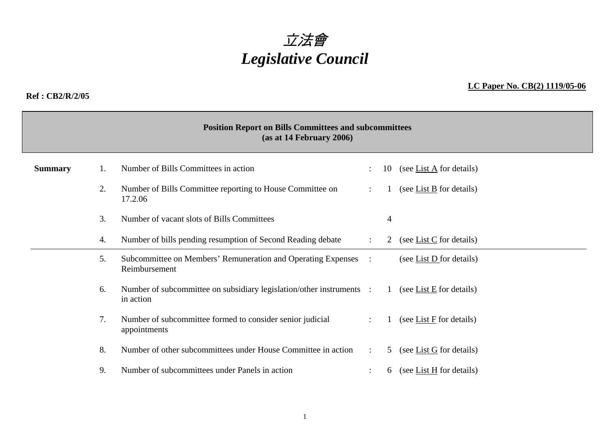# 立法會 *Legislative Council*

#### **Ref : CB2/R/2/05**

### **LC Paper No. CB(2) 1119/05-06**

|                | <b>Position Report on Bills Committees and subcommittees</b><br>(as at 14 February 2006) |                                                                                   |                      |                |                                       |  |  |  |  |  |
|----------------|------------------------------------------------------------------------------------------|-----------------------------------------------------------------------------------|----------------------|----------------|---------------------------------------|--|--|--|--|--|
| <b>Summary</b> |                                                                                          | Number of Bills Committees in action                                              |                      | 10             | (see List $\overline{A}$ for details) |  |  |  |  |  |
|                | 2.                                                                                       | Number of Bills Committee reporting to House Committee on<br>17.2.06              | $\ddot{\phantom{a}}$ |                | (see List B for details)              |  |  |  |  |  |
|                | 3.                                                                                       | Number of vacant slots of Bills Committees                                        |                      | $\overline{4}$ |                                       |  |  |  |  |  |
|                | Number of bills pending resumption of Second Reading debate<br>4.                        |                                                                                   |                      |                | (see List C for details)<br>2         |  |  |  |  |  |
|                | Subcommittee on Members' Remuneration and Operating Expenses<br>5.<br>Reimbursement      |                                                                                   |                      |                | (see List $D$ for details)            |  |  |  |  |  |
|                | 6.                                                                                       | Number of subcommittee on subsidiary legislation/other instruments :<br>in action |                      | $\mathbf{1}$   | (see List $E$ for details)            |  |  |  |  |  |
|                | Number of subcommittee formed to consider senior judicial<br>7.<br>appointments          |                                                                                   |                      | $\mathbf{1}$   | (see List $F$ for details)            |  |  |  |  |  |
|                | 8.                                                                                       | Number of other subcommittees under House Committee in action                     |                      | 5              | (see List $G$ for details)            |  |  |  |  |  |
|                | 9.                                                                                       | Number of subcommittees under Panels in action                                    |                      | 6              | (see List H for details)              |  |  |  |  |  |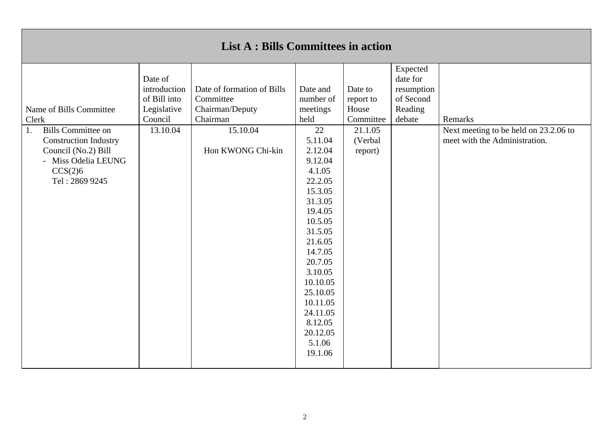| Expected<br>date for<br>Date of<br>introduction<br>Date of formation of Bills<br>Date and<br>Date to<br>resumption<br>of Second<br>of Bill into<br>Committee<br>number of<br>report to<br>Legislative<br>Chairman/Deputy<br>Reading<br>meetings<br>House<br>Name of Bills Committee<br>Council<br>Chairman<br>held<br>Committee<br>debate<br>Remarks<br>Clerk<br><b>Bills Committee on</b><br>15.10.04<br>13.10.04<br>22<br>21.1.05<br>Next meeting to be held on 23.2.06 to<br>1. |                              | <b>List A : Bills Committees in action</b> |         |         |                               |
|------------------------------------------------------------------------------------------------------------------------------------------------------------------------------------------------------------------------------------------------------------------------------------------------------------------------------------------------------------------------------------------------------------------------------------------------------------------------------------|------------------------------|--------------------------------------------|---------|---------|-------------------------------|
| Hon KWONG Chi-kin<br>Council (No.2) Bill<br>2.12.04<br>report)<br>9.12.04<br>- Miss Odelia LEUNG<br>CCS(2)6<br>4.1.05<br>22.2.05<br>Tel: 2869 9245<br>15.3.05<br>31.3.05<br>19.4.05<br>10.5.05<br>31.5.05<br>21.6.05<br>14.7.05<br>20.7.05<br>3.10.05<br>10.10.05<br>25.10.05<br>10.11.05<br>24.11.05<br>8.12.05<br>20.12.05<br>5.1.06<br>19.1.06                                                                                                                                  | <b>Construction Industry</b> |                                            | 5.11.04 | (Verbal | meet with the Administration. |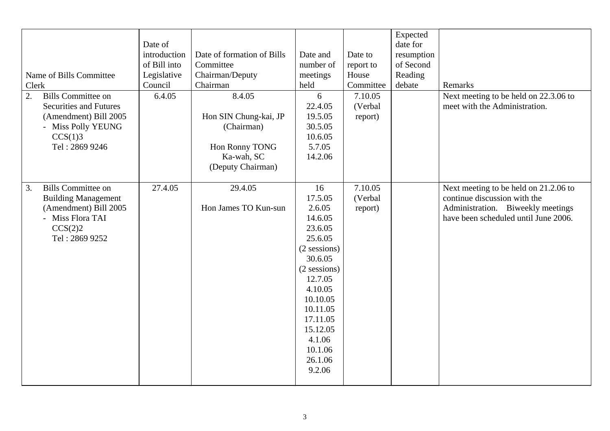| Name of Bills Committee<br>Clerk<br><b>Bills Committee on</b><br>2.                                                                     | Date of<br>introduction<br>of Bill into<br>Legislative<br>Council<br>6.4.05 | Date of formation of Bills<br>Committee<br>Chairman/Deputy<br>Chairman<br>8.4.05         | Date and<br>number of<br>meetings<br>held<br>6                                                                                                                                                                          | Date to<br>report to<br>House<br>Committee<br>7.10.05 | Expected<br>date for<br>resumption<br>of Second<br>Reading<br>debate | Remarks<br>Next meeting to be held on 22.3.06 to                                                                                                   |
|-----------------------------------------------------------------------------------------------------------------------------------------|-----------------------------------------------------------------------------|------------------------------------------------------------------------------------------|-------------------------------------------------------------------------------------------------------------------------------------------------------------------------------------------------------------------------|-------------------------------------------------------|----------------------------------------------------------------------|----------------------------------------------------------------------------------------------------------------------------------------------------|
| <b>Securities and Futures</b><br>(Amendment) Bill 2005<br>- Miss Polly YEUNG<br>CCS(1)3<br>Tel: 2869 9246                               |                                                                             | Hon SIN Chung-kai, JP<br>(Chairman)<br>Hon Ronny TONG<br>Ka-wah, SC<br>(Deputy Chairman) | 22.4.05<br>19.5.05<br>30.5.05<br>10.6.05<br>5.7.05<br>14.2.06                                                                                                                                                           | (Verbal<br>report)                                    |                                                                      | meet with the Administration.                                                                                                                      |
| <b>Bills Committee on</b><br>3.<br><b>Building Management</b><br>(Amendment) Bill 2005<br>- Miss Flora TAI<br>CCS(2)2<br>Tel: 2869 9252 | 27.4.05                                                                     | 29.4.05<br>Hon James TO Kun-sun                                                          | 16<br>17.5.05<br>2.6.05<br>14.6.05<br>23.6.05<br>25.6.05<br>$(2$ sessions)<br>30.6.05<br>$(2$ sessions)<br>12.7.05<br>4.10.05<br>10.10.05<br>10.11.05<br>17.11.05<br>15.12.05<br>4.1.06<br>10.1.06<br>26.1.06<br>9.2.06 | 7.10.05<br>(Verbal<br>report)                         |                                                                      | Next meeting to be held on 21.2.06 to<br>continue discussion with the<br>Administration. Biweekly meetings<br>have been scheduled until June 2006. |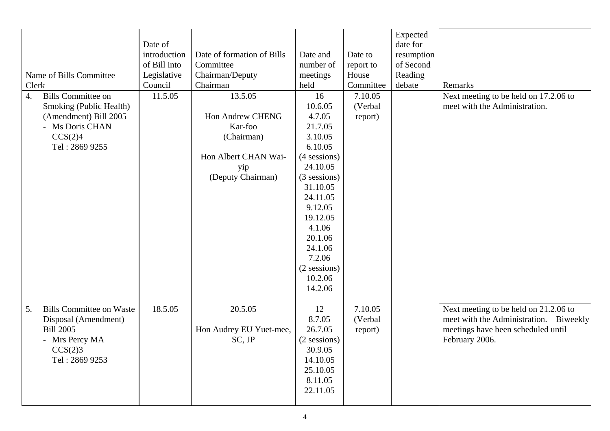| Name of Bills Committee<br>Clerk<br><b>Bills Committee on</b><br>$\overline{4}$ .<br>Smoking (Public Health)<br>(Amendment) Bill 2005<br>- Ms Doris CHAN<br>CCS(2)4<br>Tel: 2869 9255 | Date of<br>introduction<br>of Bill into<br>Legislative<br>Council<br>11.5.05 | Date of formation of Bills<br>Committee<br>Chairman/Deputy<br>Chairman<br>13.5.05<br><b>Hon Andrew CHENG</b><br>Kar-foo<br>(Chairman)<br>Hon Albert CHAN Wai-<br>yip<br>(Deputy Chairman) | Date and<br>number of<br>meetings<br>held<br>16<br>10.6.05<br>4.7.05<br>21.7.05<br>3.10.05<br>6.10.05<br>(4 sessions)<br>24.10.05<br>(3 sessions)<br>31.10.05<br>24.11.05<br>9.12.05<br>19.12.05<br>4.1.06<br>20.1.06<br>24.1.06<br>7.2.06<br>$(2$ sessions) | Date to<br>report to<br>House<br>Committee<br>7.10.05<br>(Verbal<br>report) | Expected<br>date for<br>resumption<br>of Second<br>Reading<br>debate | Remarks<br>Next meeting to be held on 17.2.06 to<br>meet with the Administration.                                                       |
|---------------------------------------------------------------------------------------------------------------------------------------------------------------------------------------|------------------------------------------------------------------------------|-------------------------------------------------------------------------------------------------------------------------------------------------------------------------------------------|--------------------------------------------------------------------------------------------------------------------------------------------------------------------------------------------------------------------------------------------------------------|-----------------------------------------------------------------------------|----------------------------------------------------------------------|-----------------------------------------------------------------------------------------------------------------------------------------|
| <b>Bills Committee on Waste</b>                                                                                                                                                       | 18.5.05                                                                      |                                                                                                                                                                                           | 10.2.06<br>14.2.06                                                                                                                                                                                                                                           | 7.10.05                                                                     |                                                                      |                                                                                                                                         |
| 5.<br>Disposal (Amendment)<br><b>Bill 2005</b><br>- Mrs Percy MA<br>CCS(2)3<br>Tel: 2869 9253                                                                                         |                                                                              | 20.5.05<br>Hon Audrey EU Yuet-mee,<br>SC, JP                                                                                                                                              | 12<br>8.7.05<br>26.7.05<br>$(2$ sessions)<br>30.9.05<br>14.10.05<br>25.10.05<br>8.11.05<br>22.11.05                                                                                                                                                          | (Verbal<br>report)                                                          |                                                                      | Next meeting to be held on 21.2.06 to<br>meet with the Administration. Biweekly<br>meetings have been scheduled until<br>February 2006. |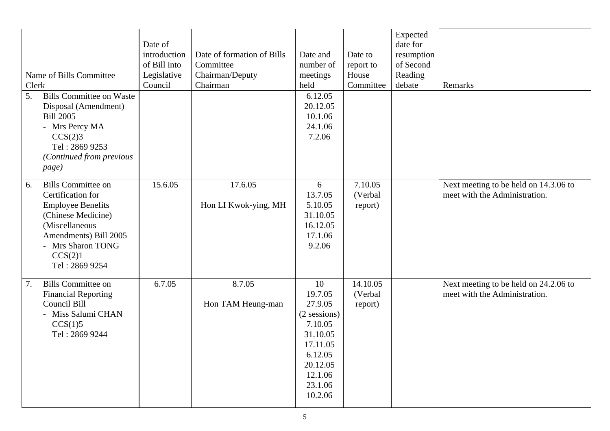| Clerk<br>5. | Name of Bills Committee<br><b>Bills Committee on Waste</b><br>Disposal (Amendment)<br><b>Bill 2005</b><br>- Mrs Percy MA<br>CCS(2)3<br>Tel: 2869 9253<br>(Continued from previous<br>page)    | Date of<br>introduction<br>of Bill into<br>Legislative<br>Council | Date of formation of Bills<br>Committee<br>Chairman/Deputy<br>Chairman | Date and<br>number of<br>meetings<br>held<br>6.12.05<br>20.12.05<br>10.1.06<br>24.1.06<br>7.2.06                                    | Date to<br>report to<br>House<br>Committee | Expected<br>date for<br>resumption<br>of Second<br>Reading<br>debate | Remarks                                                                |
|-------------|-----------------------------------------------------------------------------------------------------------------------------------------------------------------------------------------------|-------------------------------------------------------------------|------------------------------------------------------------------------|-------------------------------------------------------------------------------------------------------------------------------------|--------------------------------------------|----------------------------------------------------------------------|------------------------------------------------------------------------|
| 6.          | <b>Bills Committee on</b><br>Certification for<br><b>Employee Benefits</b><br>(Chinese Medicine)<br>(Miscellaneous<br>Amendments) Bill 2005<br>- Mrs Sharon TONG<br>CCS(2)1<br>Tel: 2869 9254 | 15.6.05                                                           | 17.6.05<br>Hon LI Kwok-ying, MH                                        | 6<br>13.7.05<br>5.10.05<br>31.10.05<br>16.12.05<br>17.1.06<br>9.2.06                                                                | 7.10.05<br>(Verbal<br>report)              |                                                                      | Next meeting to be held on 14.3.06 to<br>meet with the Administration. |
| 7.          | <b>Bills Committee on</b><br><b>Financial Reporting</b><br>Council Bill<br>- Miss Salumi CHAN<br>CCS(1)5<br>Tel: 2869 9244                                                                    | 6.7.05                                                            | 8.7.05<br>Hon TAM Heung-man                                            | 10<br>19.7.05<br>27.9.05<br>(2 sessions)<br>7.10.05<br>31.10.05<br>17.11.05<br>6.12.05<br>20.12.05<br>12.1.06<br>23.1.06<br>10.2.06 | 14.10.05<br>(Verbal<br>report)             |                                                                      | Next meeting to be held on 24.2.06 to<br>meet with the Administration. |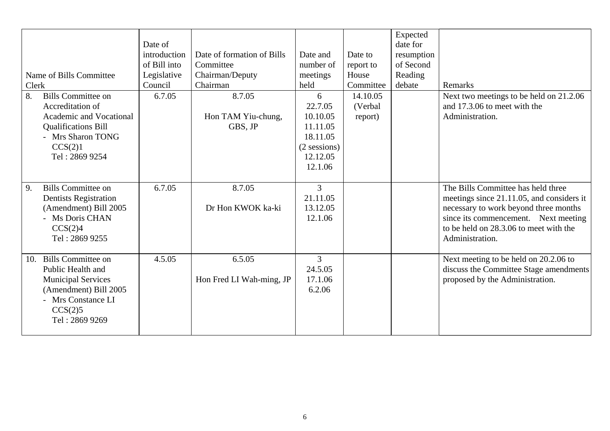| Name of Bills Committee<br>Clerk<br>8.<br><b>Bills Committee on</b><br>Accreditation of<br>Academic and Vocational<br><b>Qualifications Bill</b><br>- Mrs Sharon TONG<br>CCS(2)1<br>Tel: 2869 9254 | Date of<br>introduction<br>of Bill into<br>Legislative<br>Council<br>6.7.05 | Date of formation of Bills<br>Committee<br>Chairman/Deputy<br>Chairman<br>8.7.05<br>Hon TAM Yiu-chung,<br>GBS, JP | Date and<br>number of<br>meetings<br>held<br>6<br>22.7.05<br>10.10.05<br>11.11.05<br>18.11.05<br>$(2$ sessions)<br>12.12.05 | Date to<br>report to<br>House<br>Committee<br>14.10.05<br>(Verbal<br>report) | Expected<br>date for<br>resumption<br>of Second<br>Reading<br>debate | Remarks<br>Next two meetings to be held on 21.2.06<br>and 17.3.06 to meet with the<br>Administration.                                                                                                                         |
|----------------------------------------------------------------------------------------------------------------------------------------------------------------------------------------------------|-----------------------------------------------------------------------------|-------------------------------------------------------------------------------------------------------------------|-----------------------------------------------------------------------------------------------------------------------------|------------------------------------------------------------------------------|----------------------------------------------------------------------|-------------------------------------------------------------------------------------------------------------------------------------------------------------------------------------------------------------------------------|
|                                                                                                                                                                                                    |                                                                             |                                                                                                                   | 12.1.06                                                                                                                     |                                                                              |                                                                      |                                                                                                                                                                                                                               |
| <b>Bills Committee on</b><br>9.<br><b>Dentists Registration</b><br>(Amendment) Bill 2005<br>- Ms Doris CHAN<br>CCS(2)4<br>Tel: 2869 9255                                                           | 6.7.05                                                                      | 8.7.05<br>Dr Hon KWOK ka-ki                                                                                       | 3<br>21.11.05<br>13.12.05<br>12.1.06                                                                                        |                                                                              |                                                                      | The Bills Committee has held three<br>meetings since 21.11.05, and considers it<br>necessary to work beyond three months<br>since its commencement. Next meeting<br>to be held on 28.3.06 to meet with the<br>Administration. |
| Bills Committee on<br>10.<br>Public Health and<br><b>Municipal Services</b><br>(Amendment) Bill 2005<br>- Mrs Constance LI<br>CCS(2)5<br>Tel: 2869 9269                                            | 4.5.05                                                                      | 6.5.05<br>Hon Fred LI Wah-ming, JP                                                                                | 3<br>24.5.05<br>17.1.06<br>6.2.06                                                                                           |                                                                              |                                                                      | Next meeting to be held on 20.2.06 to<br>discuss the Committee Stage amendments<br>proposed by the Administration.                                                                                                            |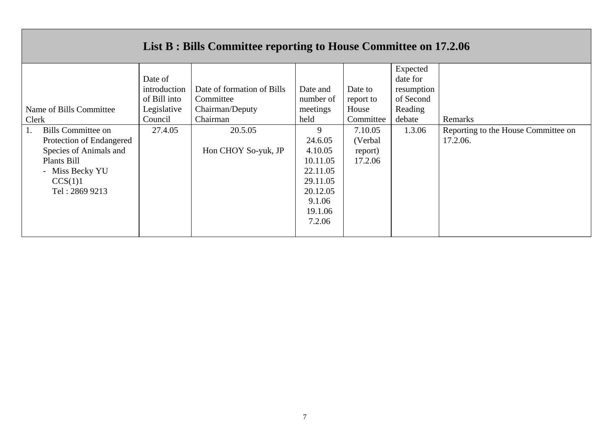## **List B : Bills Committee reporting to House Committee on 17.2.06**

|                           |              |                            |           |           | Expected   |                                     |
|---------------------------|--------------|----------------------------|-----------|-----------|------------|-------------------------------------|
|                           | Date of      |                            |           |           | date for   |                                     |
|                           | introduction | Date of formation of Bills | Date and  | Date to   | resumption |                                     |
|                           | of Bill into | Committee                  | number of | report to | of Second  |                                     |
| Name of Bills Committee   | Legislative  | Chairman/Deputy            | meetings  | House     | Reading    |                                     |
| Clerk                     | Council      | Chairman                   | held      | Committee | debate     | Remarks                             |
| <b>Bills Committee on</b> | 27.4.05      | 20.5.05                    | 9         | 7.10.05   | 1.3.06     | Reporting to the House Committee on |
| Protection of Endangered  |              |                            | 24.6.05   | (Verbal   |            | 17.2.06.                            |
| Species of Animals and    |              | Hon CHOY So-yuk, JP        | 4.10.05   | report)   |            |                                     |
| Plants Bill               |              |                            | 10.11.05  | 17.2.06   |            |                                     |
| - Miss Becky YU           |              |                            | 22.11.05  |           |            |                                     |
| CCS(1)1                   |              |                            | 29.11.05  |           |            |                                     |
| Tel: 2869 9213            |              |                            | 20.12.05  |           |            |                                     |
|                           |              |                            | 9.1.06    |           |            |                                     |
|                           |              |                            | 19.1.06   |           |            |                                     |
|                           |              |                            | 7.2.06    |           |            |                                     |
|                           |              |                            |           |           |            |                                     |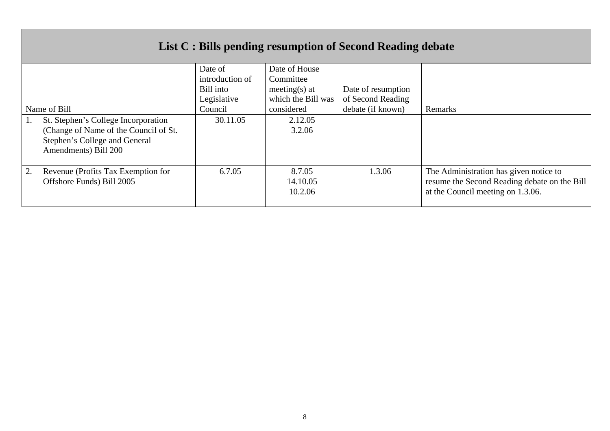| List C : Bills pending resumption of Second Reading debate |                 |                    |                    |                                              |  |  |  |
|------------------------------------------------------------|-----------------|--------------------|--------------------|----------------------------------------------|--|--|--|
|                                                            | Date of         | Date of House      |                    |                                              |  |  |  |
|                                                            | introduction of | Committee          |                    |                                              |  |  |  |
|                                                            | Bill into       | meeting(s) at      | Date of resumption |                                              |  |  |  |
|                                                            | Legislative     | which the Bill was | of Second Reading  |                                              |  |  |  |
| Name of Bill                                               | Council         | considered         | debate (if known)  | Remarks                                      |  |  |  |
| St. Stephen's College Incorporation                        | 30.11.05        | 2.12.05            |                    |                                              |  |  |  |
| (Change of Name of the Council of St.)                     |                 | 3.2.06             |                    |                                              |  |  |  |
| Stephen's College and General                              |                 |                    |                    |                                              |  |  |  |
| Amendments) Bill 200                                       |                 |                    |                    |                                              |  |  |  |
|                                                            |                 |                    |                    |                                              |  |  |  |
| 2.<br>Revenue (Profits Tax Exemption for                   | 6.7.05          | 8.7.05             | 1.3.06             | The Administration has given notice to       |  |  |  |
| Offshore Funds) Bill 2005                                  |                 | 14.10.05           |                    | resume the Second Reading debate on the Bill |  |  |  |
|                                                            |                 | 10.2.06            |                    | at the Council meeting on 1.3.06.            |  |  |  |
|                                                            |                 |                    |                    |                                              |  |  |  |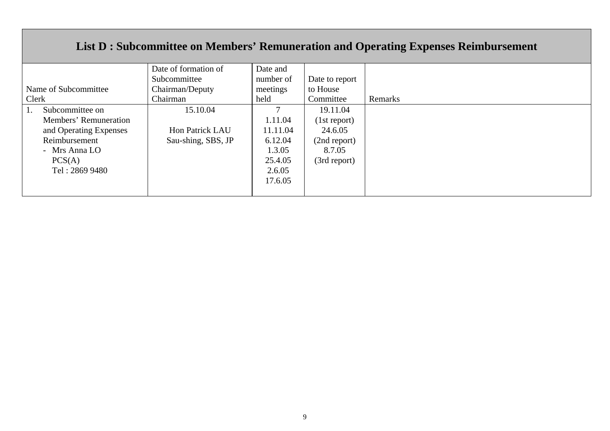### **List D : Subcommittee on Members' Remuneration and Operating Expenses Reimbursement**

|                        | Date of formation of | Date and  |                |         |
|------------------------|----------------------|-----------|----------------|---------|
|                        | Subcommittee         | number of | Date to report |         |
| Name of Subcommittee   | Chairman/Deputy      | meetings  | to House       |         |
| Clerk                  | Chairman             | held      | Committee      | Remarks |
| Subcommittee on        | 15.10.04             |           | 19.11.04       |         |
| Members' Remuneration  |                      | 1.11.04   | (1st report)   |         |
| and Operating Expenses | Hon Patrick LAU      | 11.11.04  | 24.6.05        |         |
| Reimbursement          | Sau-shing, SBS, JP   | 6.12.04   | (2nd report)   |         |
| - Mrs Anna LO          |                      | 1.3.05    | 8.7.05         |         |
| PCS(A)                 |                      | 25.4.05   | (3rd report)   |         |
| Tel: 2869 9480         |                      | 2.6.05    |                |         |
|                        |                      | 17.6.05   |                |         |
|                        |                      |           |                |         |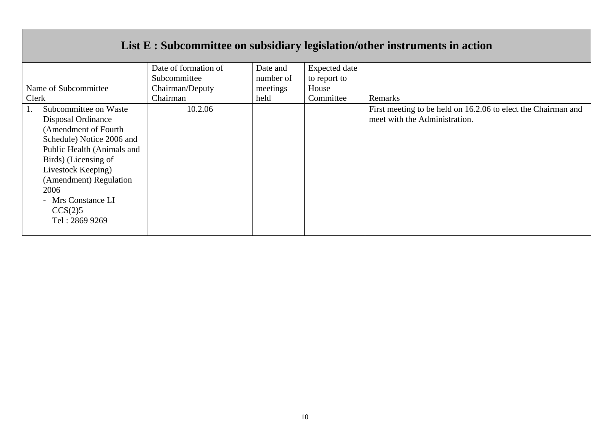|                            |                      |           |                      | List E : Subcommittee on subsidiary legislation/other instruments in action |
|----------------------------|----------------------|-----------|----------------------|-----------------------------------------------------------------------------|
|                            | Date of formation of | Date and  | <b>Expected</b> date |                                                                             |
|                            | Subcommittee         | number of | to report to         |                                                                             |
| Name of Subcommittee       | Chairman/Deputy      | meetings  | House                |                                                                             |
| Clerk                      | Chairman             | held      | Committee            | Remarks                                                                     |
| Subcommittee on Waste      | 10.2.06              |           |                      | First meeting to be held on 16.2.06 to elect the Chairman and               |
| Disposal Ordinance         |                      |           |                      | meet with the Administration.                                               |
| (Amendment of Fourth       |                      |           |                      |                                                                             |
| Schedule) Notice 2006 and  |                      |           |                      |                                                                             |
| Public Health (Animals and |                      |           |                      |                                                                             |
| Birds) (Licensing of       |                      |           |                      |                                                                             |
| Livestock Keeping)         |                      |           |                      |                                                                             |
| (Amendment) Regulation     |                      |           |                      |                                                                             |
| 2006                       |                      |           |                      |                                                                             |
| - Mrs Constance LI         |                      |           |                      |                                                                             |
| CCS(2)5                    |                      |           |                      |                                                                             |
| Tel: 2869 9269             |                      |           |                      |                                                                             |
|                            |                      |           |                      |                                                                             |

 $\Box$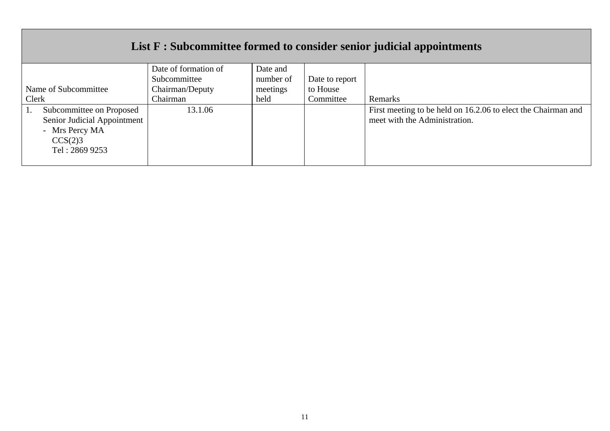|                             |                      |           |                | List F : Subcommittee formed to consider senior judicial appointments |
|-----------------------------|----------------------|-----------|----------------|-----------------------------------------------------------------------|
|                             | Date of formation of | Date and  |                |                                                                       |
|                             | Subcommittee         | number of | Date to report |                                                                       |
| Name of Subcommittee        | Chairman/Deputy      | meetings  | to House       |                                                                       |
| Clerk                       | Chairman             | held      | Committee      | Remarks                                                               |
| Subcommittee on Proposed    | 13.1.06              |           |                | First meeting to be held on 16.2.06 to elect the Chairman and         |
| Senior Judicial Appointment |                      |           |                | meet with the Administration.                                         |
| - Mrs Percy MA              |                      |           |                |                                                                       |
| CCS(2)3                     |                      |           |                |                                                                       |
| Tel: 2869 9253              |                      |           |                |                                                                       |
|                             |                      |           |                |                                                                       |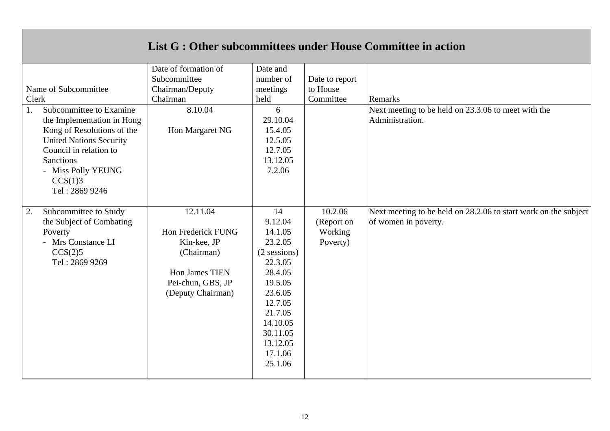|                                                                                                                                                                                             |                                                                                                                         |                                                                                                                                                                                 |                                              | List G : Other subcommittees under House Committee in action                            |
|---------------------------------------------------------------------------------------------------------------------------------------------------------------------------------------------|-------------------------------------------------------------------------------------------------------------------------|---------------------------------------------------------------------------------------------------------------------------------------------------------------------------------|----------------------------------------------|-----------------------------------------------------------------------------------------|
| Name of Subcommittee<br>Clerk<br>Subcommittee to Examine<br>1.                                                                                                                              | Date of formation of<br>Subcommittee<br>Chairman/Deputy<br>Chairman<br>8.10.04                                          | Date and<br>number of<br>meetings<br>held<br>6                                                                                                                                  | Date to report<br>to House<br>Committee      | Remarks<br>Next meeting to be held on 23.3.06 to meet with the                          |
| the Implementation in Hong<br>Kong of Resolutions of the<br><b>United Nations Security</b><br>Council in relation to<br><b>Sanctions</b><br>- Miss Polly YEUNG<br>CCS(1)3<br>Tel: 2869 9246 | Hon Margaret NG                                                                                                         | 29.10.04<br>15.4.05<br>12.5.05<br>12.7.05<br>13.12.05<br>7.2.06                                                                                                                 |                                              | Administration.                                                                         |
| Subcommittee to Study<br>2.<br>the Subject of Combating<br>Poverty<br>- Mrs Constance LI<br>CCS(2)5<br>Tel: 2869 9269                                                                       | 12.11.04<br>Hon Frederick FUNG<br>Kin-kee, JP<br>(Chairman)<br>Hon James TIEN<br>Pei-chun, GBS, JP<br>(Deputy Chairman) | 14<br>9.12.04<br>14.1.05<br>23.2.05<br>(2 sessions)<br>22.3.05<br>28.4.05<br>19.5.05<br>23.6.05<br>12.7.05<br>21.7.05<br>14.10.05<br>30.11.05<br>13.12.05<br>17.1.06<br>25.1.06 | 10.2.06<br>(Report on<br>Working<br>Poverty) | Next meeting to be held on 28.2.06 to start work on the subject<br>of women in poverty. |

 $\mathbb{R}$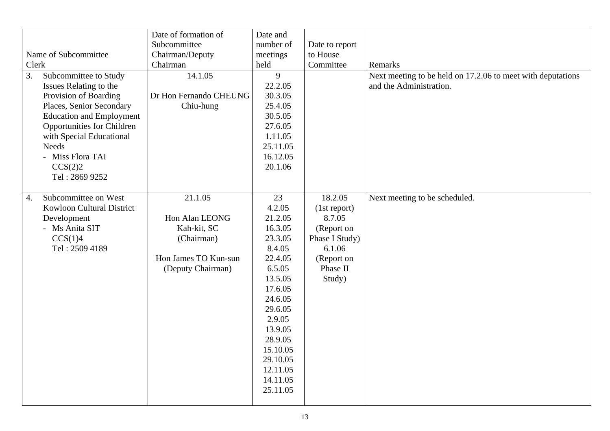|                                         |                                 | Date of formation of   | Date and  |                |                                                             |
|-----------------------------------------|---------------------------------|------------------------|-----------|----------------|-------------------------------------------------------------|
|                                         |                                 | Subcommittee           | number of | Date to report |                                                             |
| Name of Subcommittee<br>Chairman/Deputy |                                 |                        | meetings  | to House       |                                                             |
| Clerk                                   |                                 | Chairman               | held      | Committee      | Remarks                                                     |
| 3.                                      | Subcommittee to Study           | 14.1.05                | 9         |                | Next meeting to be held on 17.2.06 to meet with deputations |
|                                         | Issues Relating to the          |                        | 22.2.05   |                | and the Administration.                                     |
|                                         | Provision of Boarding           | Dr Hon Fernando CHEUNG | 30.3.05   |                |                                                             |
|                                         | Places, Senior Secondary        | Chiu-hung              | 25.4.05   |                |                                                             |
|                                         | <b>Education and Employment</b> |                        | 30.5.05   |                |                                                             |
|                                         | Opportunities for Children      |                        | 27.6.05   |                |                                                             |
|                                         | with Special Educational        |                        | 1.11.05   |                |                                                             |
|                                         | <b>Needs</b>                    |                        | 25.11.05  |                |                                                             |
|                                         | - Miss Flora TAI                |                        | 16.12.05  |                |                                                             |
|                                         | CCS(2)2                         |                        | 20.1.06   |                |                                                             |
|                                         | Tel: 2869 9252                  |                        |           |                |                                                             |
|                                         |                                 |                        |           |                |                                                             |
| $\overline{4}$ .                        | Subcommittee on West            | 21.1.05                | 23        | 18.2.05        | Next meeting to be scheduled.                               |
|                                         | Kowloon Cultural District       |                        | 4.2.05    | (1st report)   |                                                             |
|                                         | Development                     | Hon Alan LEONG         | 21.2.05   | 8.7.05         |                                                             |
|                                         | - Ms Anita SIT                  | Kah-kit, SC            | 16.3.05   | (Report on     |                                                             |
|                                         | CCS(1)4                         | (Chairman)             | 23.3.05   | Phase I Study) |                                                             |
|                                         | Tel: 2509 4189                  |                        | 8.4.05    | 6.1.06         |                                                             |
|                                         |                                 | Hon James TO Kun-sun   | 22.4.05   | (Report on     |                                                             |
|                                         |                                 | (Deputy Chairman)      | 6.5.05    | Phase II       |                                                             |
|                                         |                                 |                        | 13.5.05   | Study)         |                                                             |
|                                         |                                 |                        | 17.6.05   |                |                                                             |
|                                         |                                 |                        | 24.6.05   |                |                                                             |
|                                         |                                 |                        | 29.6.05   |                |                                                             |
|                                         |                                 |                        | 2.9.05    |                |                                                             |
|                                         |                                 |                        | 13.9.05   |                |                                                             |
|                                         |                                 |                        | 28.9.05   |                |                                                             |
|                                         |                                 |                        | 15.10.05  |                |                                                             |
|                                         |                                 |                        | 29.10.05  |                |                                                             |
|                                         |                                 |                        | 12.11.05  |                |                                                             |
|                                         |                                 |                        | 14.11.05  |                |                                                             |
|                                         |                                 |                        | 25.11.05  |                |                                                             |
|                                         |                                 |                        |           |                |                                                             |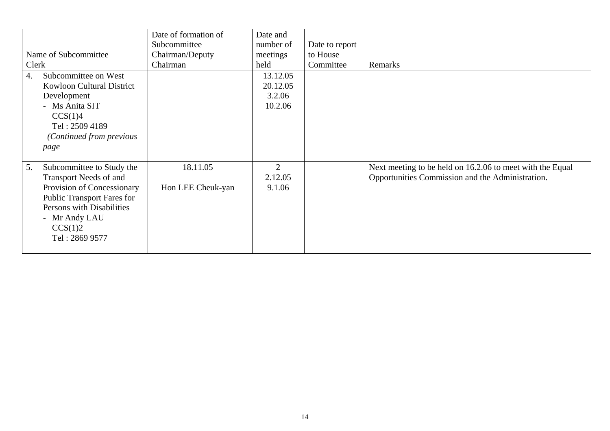| Name of Subcommittee<br>Clerk                                            |                                                                                                                                                     | Date of formation of<br>Subcommittee<br>Chairman/Deputy<br>Chairman | Date and<br>number of<br>meetings<br>held | Date to report<br>to House<br>Committee | Remarks                                                                                                       |
|--------------------------------------------------------------------------|-----------------------------------------------------------------------------------------------------------------------------------------------------|---------------------------------------------------------------------|-------------------------------------------|-----------------------------------------|---------------------------------------------------------------------------------------------------------------|
| 4.<br>Development<br>- Ms Anita SIT<br>CCS(1)4<br>Tel: 2509 4189<br>page | Subcommittee on West<br><b>Kowloon Cultural District</b><br>(Continued from previous                                                                |                                                                     | 13.12.05<br>20.12.05<br>3.2.06<br>10.2.06 |                                         |                                                                                                               |
| 5.<br>- Mr Andy LAU<br>CCS(1)2<br>Tel: 2869 9577                         | Subcommittee to Study the<br>Transport Needs of and<br>Provision of Concessionary<br><b>Public Transport Fares for</b><br>Persons with Disabilities | 18.11.05<br>Hon LEE Cheuk-yan                                       | 2<br>2.12.05<br>9.1.06                    |                                         | Next meeting to be held on 16.2.06 to meet with the Equal<br>Opportunities Commission and the Administration. |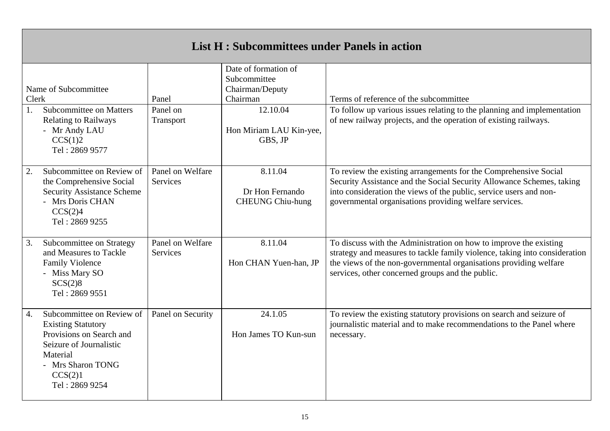| <b>List H: Subcommittees under Panels in action</b> |                                                                                                                                                                             |                                |                                                                                                                       |                                                                                                                                                                                                                                                                           |
|-----------------------------------------------------|-----------------------------------------------------------------------------------------------------------------------------------------------------------------------------|--------------------------------|-----------------------------------------------------------------------------------------------------------------------|---------------------------------------------------------------------------------------------------------------------------------------------------------------------------------------------------------------------------------------------------------------------------|
| Clerk<br>1.                                         | Name of Subcommittee<br>Subcommittee on Matters<br><b>Relating to Railways</b><br>- Mr Andy LAU<br>CCS(1)2<br>Tel: 2869 9577                                                | Panel<br>Panel on<br>Transport | Date of formation of<br>Subcommittee<br>Chairman/Deputy<br>Chairman<br>12.10.04<br>Hon Miriam LAU Kin-yee,<br>GBS, JP | Terms of reference of the subcommittee<br>To follow up various issues relating to the planning and implementation<br>of new railway projects, and the operation of existing railways.                                                                                     |
| 2.                                                  | Subcommittee on Review of<br>the Comprehensive Social<br><b>Security Assistance Scheme</b><br>- Mrs Doris CHAN<br>CCS(2)4<br>Tel: 2869 9255                                 | Panel on Welfare<br>Services   | 8.11.04<br>Dr Hon Fernando<br><b>CHEUNG Chiu-hung</b>                                                                 | To review the existing arrangements for the Comprehensive Social<br>Security Assistance and the Social Security Allowance Schemes, taking<br>into consideration the views of the public, service users and non-<br>governmental organisations providing welfare services. |
| 3.                                                  | Subcommittee on Strategy<br>and Measures to Tackle<br><b>Family Violence</b><br>- Miss Mary SO<br>SCS(2)8<br>Tel: 2869 9551                                                 | Panel on Welfare<br>Services   | 8.11.04<br>Hon CHAN Yuen-han, JP                                                                                      | To discuss with the Administration on how to improve the existing<br>strategy and measures to tackle family violence, taking into consideration<br>the views of the non-governmental organisations providing welfare<br>services, other concerned groups and the public.  |
| $\overline{4}$ .                                    | Subcommittee on Review of<br><b>Existing Statutory</b><br>Provisions on Search and<br>Seizure of Journalistic<br>Material<br>- Mrs Sharon TONG<br>CCS(2)1<br>Tel: 2869 9254 | Panel on Security              | 24.1.05<br>Hon James TO Kun-sun                                                                                       | To review the existing statutory provisions on search and seizure of<br>journalistic material and to make recommendations to the Panel where<br>necessary.                                                                                                                |